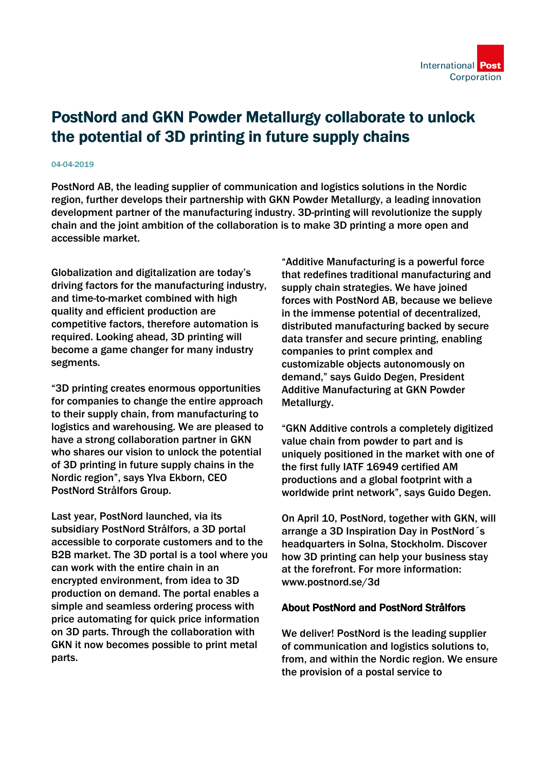## PostNord and GKN Powder Metallurgy collaborate to unlock the potential of 3D printing in future supply chains

## 04-04-2019

PostNord AB, the leading supplier of communication and logistics solutions in the Nordic region, further develops their partnership with GKN Powder Metallurgy, a leading innovation development partner of the manufacturing industry. 3D-printing will revolutionize the supply chain and the joint ambition of the collaboration is to make 3D printing a more open and accessible market.

Globalization and digitalization are today's driving factors for the manufacturing industry, and time-to-market combined with high quality and efficient production are competitive factors, therefore automation is required. Looking ahead, 3D printing will become a game changer for many industry segments.

"3D printing creates enormous opportunities for companies to change the entire approach to their supply chain, from manufacturing to logistics and warehousing. We are pleased to have a strong collaboration partner in GKN who shares our vision to unlock the potential of 3D printing in future supply chains in the Nordic region", says Ylva Ekborn, CEO PostNord Strålfors Group.

Last year, PostNord launched, via its subsidiary PostNord Strålfors, a 3D portal accessible to corporate customers and to the B2B market. The 3D portal is a tool where you can work with the entire chain in an encrypted environment, from idea to 3D production on demand. The portal enables a simple and seamless ordering process with price automating for quick price information on 3D parts. Through the collaboration with GKN it now becomes possible to print metal parts.

"Additive Manufacturing is a powerful force that redefines traditional manufacturing and supply chain strategies. We have joined forces with PostNord AB, because we believe in the immense potential of decentralized, distributed manufacturing backed by secure data transfer and secure printing, enabling companies to print complex and customizable objects autonomously on demand," says Guido Degen, President Additive Manufacturing at GKN Powder Metallurgy.

"GKN Additive controls a completely digitized value chain from powder to part and is uniquely positioned in the market with one of the first fully IATF 16949 certified AM productions and a global footprint with a worldwide print network", says Guido Degen.

On April 10, PostNord, together with GKN, will arrange a 3D Inspiration Day in PostNord´s headquarters in Solna, Stockholm. Discover how 3D printing can help your business stay at the forefront. For more information: www.postnord.se/3d

## About PostNord and PostNord Strålfors

We deliver! PostNord is the leading supplier of communication and logistics solutions to, from, and within the Nordic region. We ensure the provision of a postal service to